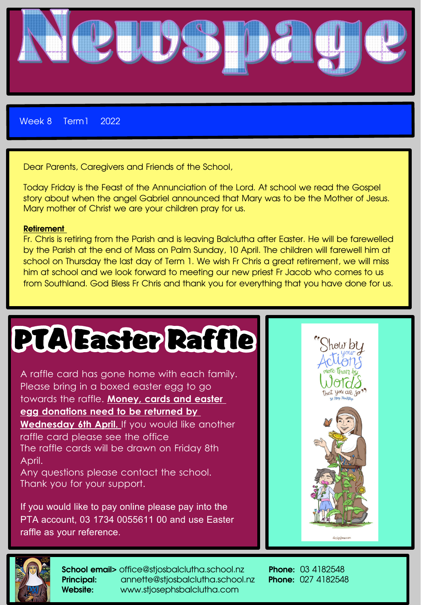

Week 8 Term1 2022

Dear Parents, Caregivers and Friends of the School,

Today Friday is the Feast of the Annunciation of the Lord. At school we read the Gospel story about when the angel Gabriel announced that Mary was to be the Mother of Jesus. Mary mother of Christ we are your children pray for us.

#### Retirement

Fr. Chris is retiring from the Parish and is leaving Balclutha after Easter. He will be farewelled by the Parish at the end of Mass on Palm Sunday, 10 April. The children will farewell him at school on Thursday the last day of Term 1. We wish Fr Chris a great retirement, we will miss him at school and we look forward to meeting our new priest Fr Jacob who comes to us from Southland. God Bless Fr Chris and thank you for everything that you have done for us.

# **PTA Easter Raffle**

A raffle card has gone home with each family. Please bring in a boxed easter egg to go towards the raffle. **Money, cards and easter egg donations need to be returned by Wednesday 6th April.** If you would like another raffle card please see the office The raffle cards will be drawn on Friday 8th April.

Any questions please contact the school. Thank you for your support.

If you would like to pay online please pay into the PTA account, 03 1734 0055611 00 and use Easter raffle as your reference.





School email> office@stjosbalclutha.school.nz Phone: 03 4182548 Principal: annette@stiosbalclutha.school.nz Phone: 027 4182548 Website: www.stjosephsbalclutha.com